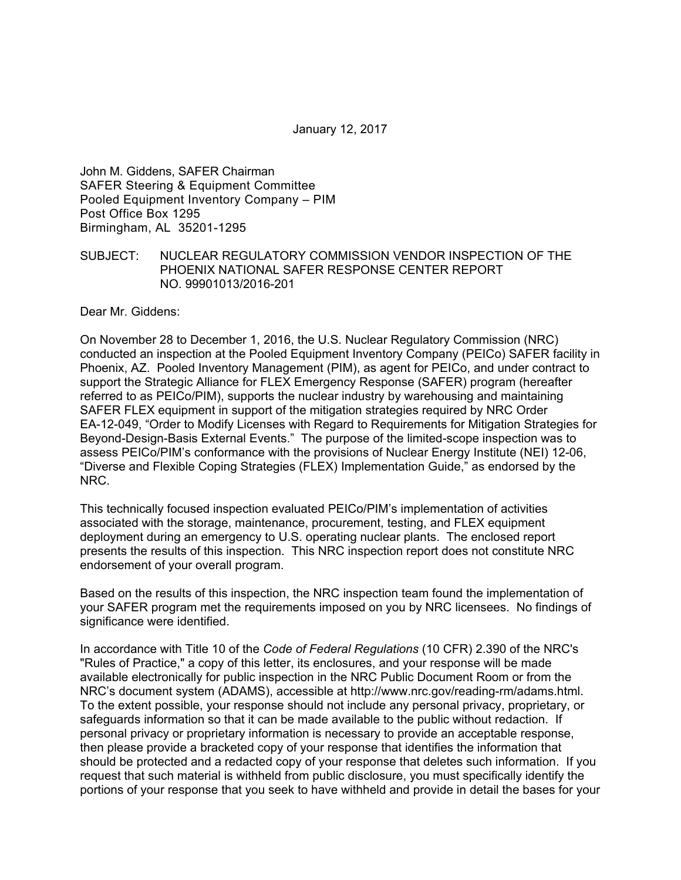January 12, 2017

John M. Giddens, SAFER Chairman SAFER Steering & Equipment Committee Pooled Equipment Inventory Company – PIM Post Office Box 1295 Birmingham, AL 35201-1295

#### SUBJECT: NUCLEAR REGULATORY COMMISSION VENDOR INSPECTION OF THE PHOENIX NATIONAL SAFER RESPONSE CENTER REPORT NO. 99901013/2016-201

Dear Mr. Giddens:

On November 28 to December 1, 2016, the U.S. Nuclear Regulatory Commission (NRC) conducted an inspection at the Pooled Equipment Inventory Company (PEICo) SAFER facility in Phoenix, AZ. Pooled Inventory Management (PIM), as agent for PEICo, and under contract to support the Strategic Alliance for FLEX Emergency Response (SAFER) program (hereafter referred to as PEICo/PIM), supports the nuclear industry by warehousing and maintaining SAFER FLEX equipment in support of the mitigation strategies required by NRC Order EA-12-049, "Order to Modify Licenses with Regard to Requirements for Mitigation Strategies for Beyond-Design-Basis External Events." The purpose of the limited-scope inspection was to assess PEICo/PIM's conformance with the provisions of Nuclear Energy Institute (NEI) 12-06, "Diverse and Flexible Coping Strategies (FLEX) Implementation Guide," as endorsed by the NRC.

This technically focused inspection evaluated PEICo/PIM's implementation of activities associated with the storage, maintenance, procurement, testing, and FLEX equipment deployment during an emergency to U.S. operating nuclear plants. The enclosed report presents the results of this inspection. This NRC inspection report does not constitute NRC endorsement of your overall program.

Based on the results of this inspection, the NRC inspection team found the implementation of your SAFER program met the requirements imposed on you by NRC licensees. No findings of significance were identified.

In accordance with Title 10 of the *Code of Federal Regulations* (10 CFR) 2.390 of the NRC's "Rules of Practice," a copy of this letter, its enclosures, and your response will be made available electronically for public inspection in the NRC Public Document Room or from the NRC's document system (ADAMS), accessible at http://www.nrc.gov/reading-rm/adams.html. To the extent possible, your response should not include any personal privacy, proprietary, or safeguards information so that it can be made available to the public without redaction. If personal privacy or proprietary information is necessary to provide an acceptable response, then please provide a bracketed copy of your response that identifies the information that should be protected and a redacted copy of your response that deletes such information. If you request that such material is withheld from public disclosure, you must specifically identify the portions of your response that you seek to have withheld and provide in detail the bases for your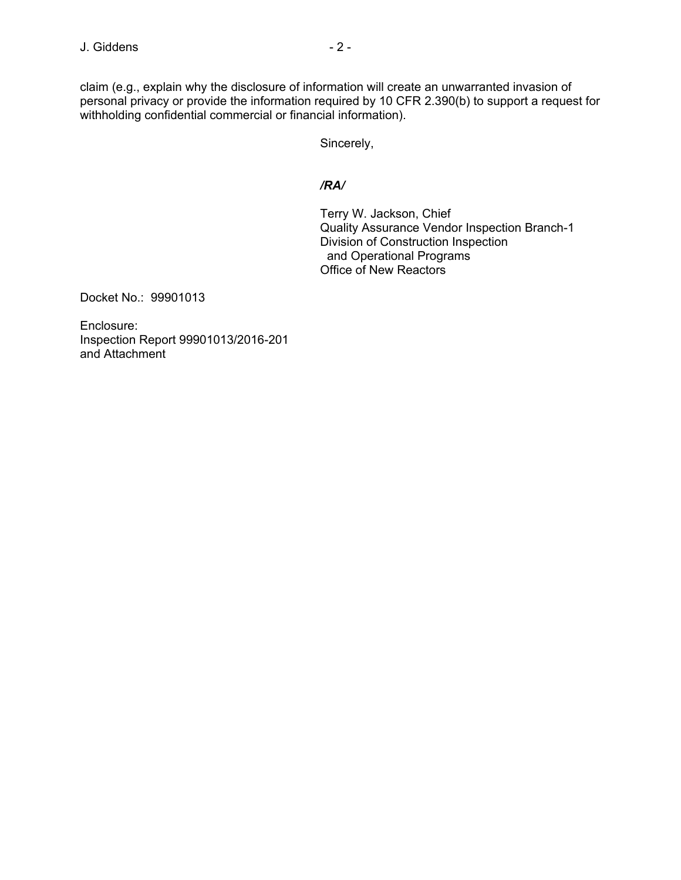claim (e.g., explain why the disclosure of information will create an unwarranted invasion of personal privacy or provide the information required by 10 CFR 2.390(b) to support a request for withholding confidential commercial or financial information).

Sincerely,

### */RA/*

Terry W. Jackson, Chief Quality Assurance Vendor Inspection Branch-1 Division of Construction Inspection and Operational Programs Office of New Reactors

Docket No.: 99901013

Enclosure: Inspection Report 99901013/2016-201 and Attachment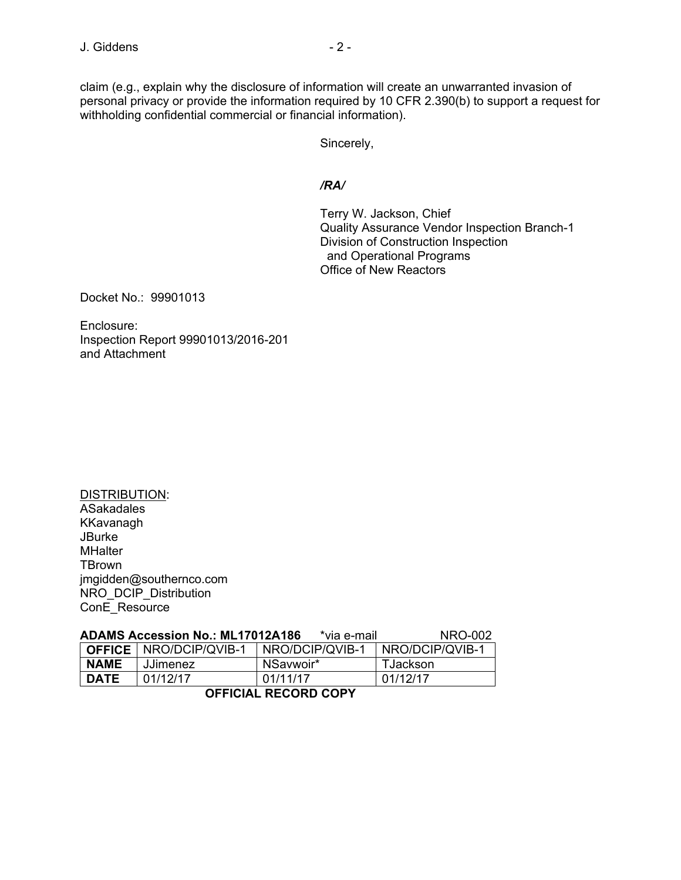claim (e.g., explain why the disclosure of information will create an unwarranted invasion of personal privacy or provide the information required by 10 CFR 2.390(b) to support a request for withholding confidential commercial or financial information).

Sincerely,

## */RA/*

Terry W. Jackson, Chief Quality Assurance Vendor Inspection Branch-1 Division of Construction Inspection and Operational Programs Office of New Reactors

Docket No.: 99901013

Enclosure: Inspection Report 99901013/2016-201 and Attachment

DISTRIBUTION: ASakadales KKavanagh **JBurke MHalter TBrown** jmgidden@southernco.com NRO\_DCIP\_Distribution ConE\_Resource

| ADAMS Accession No.: ML17012A186<br>NRO-002<br>*via e-mail |                                 |                 |                 |  |
|------------------------------------------------------------|---------------------------------|-----------------|-----------------|--|
|                                                            | <b>OFFICE</b>   NRO/DCIP/QVIB-1 | NRO/DCIP/QVIB-1 | NRO/DCIP/QVIB-1 |  |
| <b>NAME</b>                                                | JJimenez                        | NSavwoir*       | TJackson        |  |
| <b>DATE</b>                                                | 01/12/17                        | 01/11/17        | 01/12/17        |  |
| AFFIAIAI BEAARD AADV                                       |                                 |                 |                 |  |

# **OFFICIAL RECORD COPY**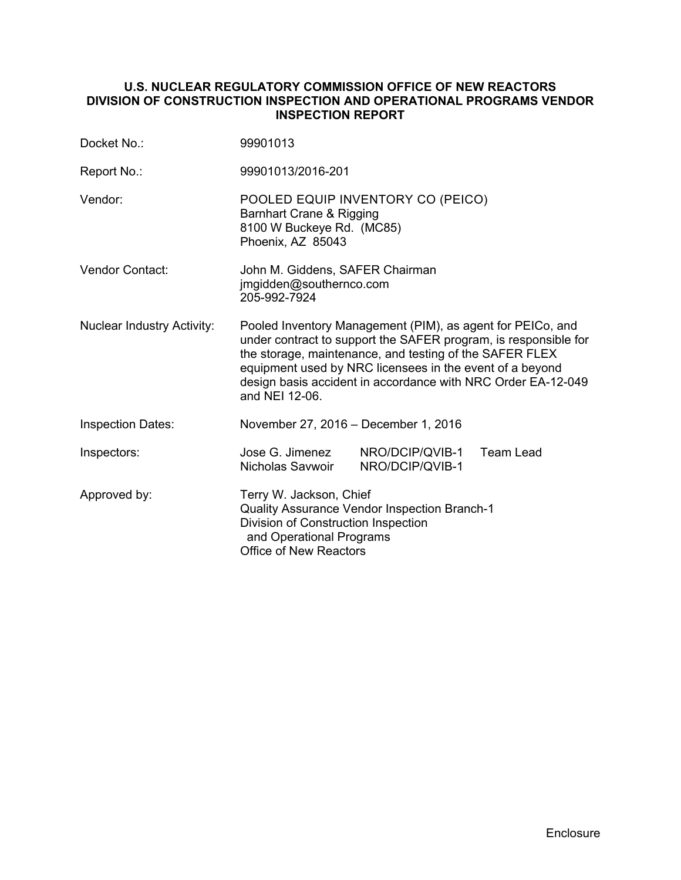## **U.S. NUCLEAR REGULATORY COMMISSION OFFICE OF NEW REACTORS DIVISION OF CONSTRUCTION INSPECTION AND OPERATIONAL PROGRAMS VENDOR INSPECTION REPORT**

| Docket No.:                       | 99901013                                                                                                                                                                                                                                                                                                                               |  |  |
|-----------------------------------|----------------------------------------------------------------------------------------------------------------------------------------------------------------------------------------------------------------------------------------------------------------------------------------------------------------------------------------|--|--|
| Report No.:                       | 99901013/2016-201                                                                                                                                                                                                                                                                                                                      |  |  |
| Vendor:                           | POOLED EQUIP INVENTORY CO (PEICO)<br>Barnhart Crane & Rigging<br>8100 W Buckeye Rd. (MC85)<br>Phoenix, AZ 85043                                                                                                                                                                                                                        |  |  |
| <b>Vendor Contact:</b>            | John M. Giddens, SAFER Chairman<br>jmgidden@southernco.com<br>205-992-7924                                                                                                                                                                                                                                                             |  |  |
| <b>Nuclear Industry Activity:</b> | Pooled Inventory Management (PIM), as agent for PEICo, and<br>under contract to support the SAFER program, is responsible for<br>the storage, maintenance, and testing of the SAFER FLEX<br>equipment used by NRC licensees in the event of a beyond<br>design basis accident in accordance with NRC Order EA-12-049<br>and NEI 12-06. |  |  |
| <b>Inspection Dates:</b>          | November 27, 2016 - December 1, 2016                                                                                                                                                                                                                                                                                                   |  |  |
| Inspectors:                       | NRO/DCIP/QVIB-1<br>Jose G. Jimenez<br><b>Team Lead</b><br>Nicholas Savwoir<br>NRO/DCIP/QVIB-1                                                                                                                                                                                                                                          |  |  |
| Approved by:                      | Terry W. Jackson, Chief<br>Quality Assurance Vendor Inspection Branch-1<br>Division of Construction Inspection<br>and Operational Programs<br><b>Office of New Reactors</b>                                                                                                                                                            |  |  |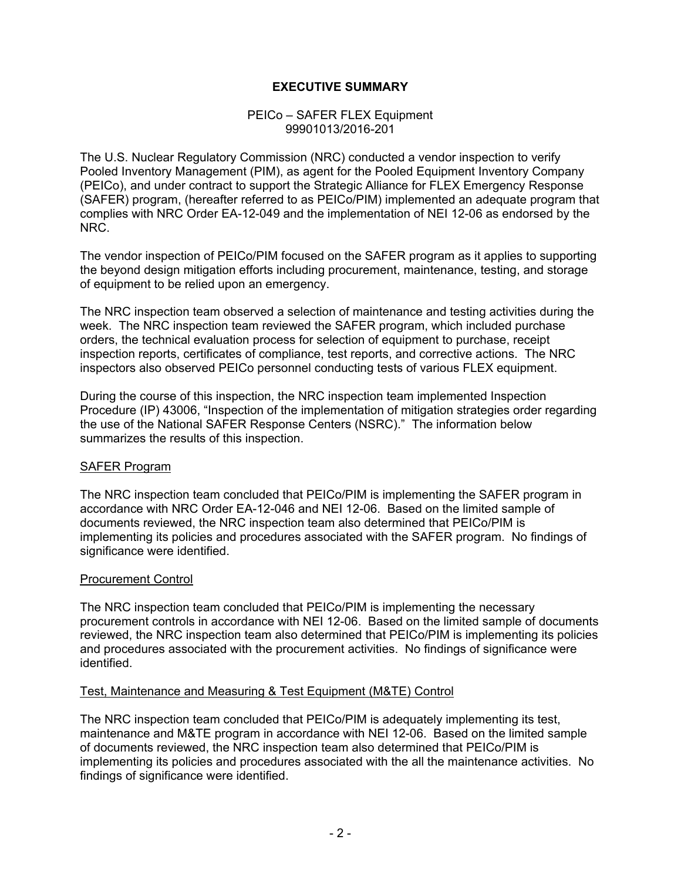# **EXECUTIVE SUMMARY**

#### PEICo – SAFER FLEX Equipment 99901013/2016-201

The U.S. Nuclear Regulatory Commission (NRC) conducted a vendor inspection to verify Pooled Inventory Management (PIM), as agent for the Pooled Equipment Inventory Company (PEICo), and under contract to support the Strategic Alliance for FLEX Emergency Response (SAFER) program, (hereafter referred to as PEICo/PIM) implemented an adequate program that complies with NRC Order EA-12-049 and the implementation of NEI 12-06 as endorsed by the NRC.

The vendor inspection of PEICo/PIM focused on the SAFER program as it applies to supporting the beyond design mitigation efforts including procurement, maintenance, testing, and storage of equipment to be relied upon an emergency.

The NRC inspection team observed a selection of maintenance and testing activities during the week. The NRC inspection team reviewed the SAFER program, which included purchase orders, the technical evaluation process for selection of equipment to purchase, receipt inspection reports, certificates of compliance, test reports, and corrective actions. The NRC inspectors also observed PEICo personnel conducting tests of various FLEX equipment.

During the course of this inspection, the NRC inspection team implemented Inspection Procedure (IP) 43006, "Inspection of the implementation of mitigation strategies order regarding the use of the National SAFER Response Centers (NSRC)." The information below summarizes the results of this inspection.

## SAFER Program

The NRC inspection team concluded that PEICo/PIM is implementing the SAFER program in accordance with NRC Order EA-12-046 and NEI 12-06. Based on the limited sample of documents reviewed, the NRC inspection team also determined that PEICo/PIM is implementing its policies and procedures associated with the SAFER program. No findings of significance were identified.

#### Procurement Control

The NRC inspection team concluded that PEICo/PIM is implementing the necessary procurement controls in accordance with NEI 12-06. Based on the limited sample of documents reviewed, the NRC inspection team also determined that PEICo/PIM is implementing its policies and procedures associated with the procurement activities. No findings of significance were identified.

## Test, Maintenance and Measuring & Test Equipment (M&TE) Control

The NRC inspection team concluded that PEICo/PIM is adequately implementing its test, maintenance and M&TE program in accordance with NEI 12-06. Based on the limited sample of documents reviewed, the NRC inspection team also determined that PEICo/PIM is implementing its policies and procedures associated with the all the maintenance activities. No findings of significance were identified.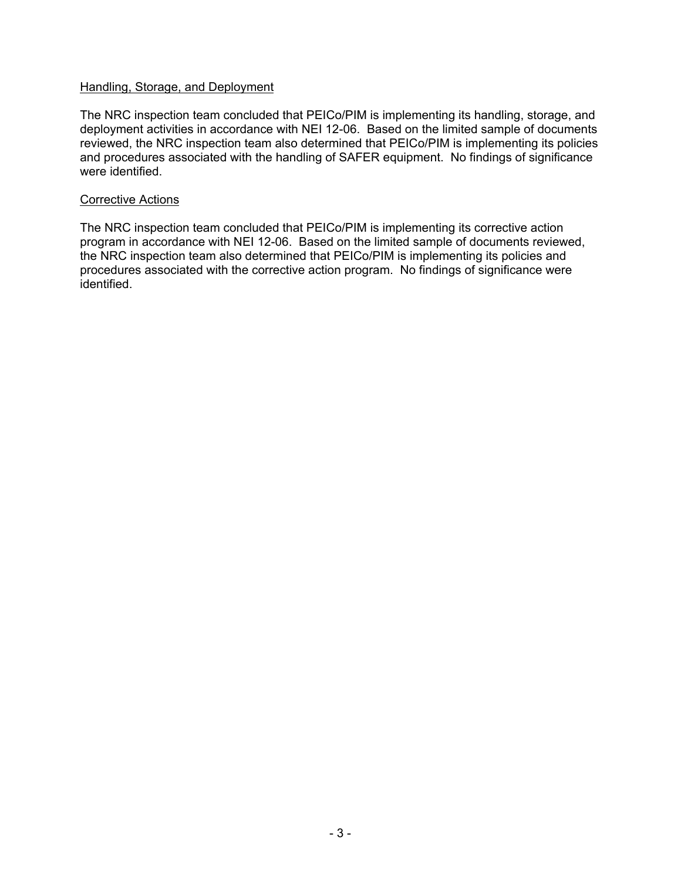#### Handling, Storage, and Deployment

The NRC inspection team concluded that PEICo/PIM is implementing its handling, storage, and deployment activities in accordance with NEI 12-06. Based on the limited sample of documents reviewed, the NRC inspection team also determined that PEICo/PIM is implementing its policies and procedures associated with the handling of SAFER equipment. No findings of significance were identified.

#### Corrective Actions

The NRC inspection team concluded that PEICo/PIM is implementing its corrective action program in accordance with NEI 12-06. Based on the limited sample of documents reviewed, the NRC inspection team also determined that PEICo/PIM is implementing its policies and procedures associated with the corrective action program. No findings of significance were identified.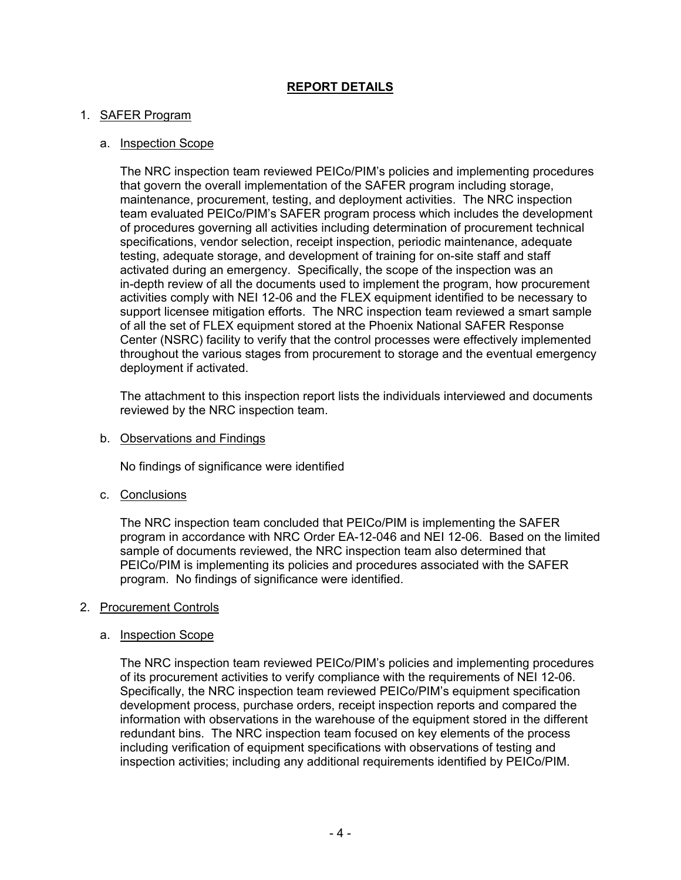# **REPORT DETAILS**

# 1. SAFER Program

# a. Inspection Scope

The NRC inspection team reviewed PEICo/PIM's policies and implementing procedures that govern the overall implementation of the SAFER program including storage, maintenance, procurement, testing, and deployment activities. The NRC inspection team evaluated PEICo/PIM's SAFER program process which includes the development of procedures governing all activities including determination of procurement technical specifications, vendor selection, receipt inspection, periodic maintenance, adequate testing, adequate storage, and development of training for on-site staff and staff activated during an emergency. Specifically, the scope of the inspection was an in-depth review of all the documents used to implement the program, how procurement activities comply with NEI 12-06 and the FLEX equipment identified to be necessary to support licensee mitigation efforts. The NRC inspection team reviewed a smart sample of all the set of FLEX equipment stored at the Phoenix National SAFER Response Center (NSRC) facility to verify that the control processes were effectively implemented throughout the various stages from procurement to storage and the eventual emergency deployment if activated.

The attachment to this inspection report lists the individuals interviewed and documents reviewed by the NRC inspection team.

b. Observations and Findings

No findings of significance were identified

c. Conclusions

The NRC inspection team concluded that PEICo/PIM is implementing the SAFER program in accordance with NRC Order EA-12-046 and NEI 12-06. Based on the limited sample of documents reviewed, the NRC inspection team also determined that PEICo/PIM is implementing its policies and procedures associated with the SAFER program. No findings of significance were identified.

## 2. Procurement Controls

## a. Inspection Scope

The NRC inspection team reviewed PEICo/PIM's policies and implementing procedures of its procurement activities to verify compliance with the requirements of NEI 12-06. Specifically, the NRC inspection team reviewed PEICo/PIM's equipment specification development process, purchase orders, receipt inspection reports and compared the information with observations in the warehouse of the equipment stored in the different redundant bins. The NRC inspection team focused on key elements of the process including verification of equipment specifications with observations of testing and inspection activities; including any additional requirements identified by PEICo/PIM.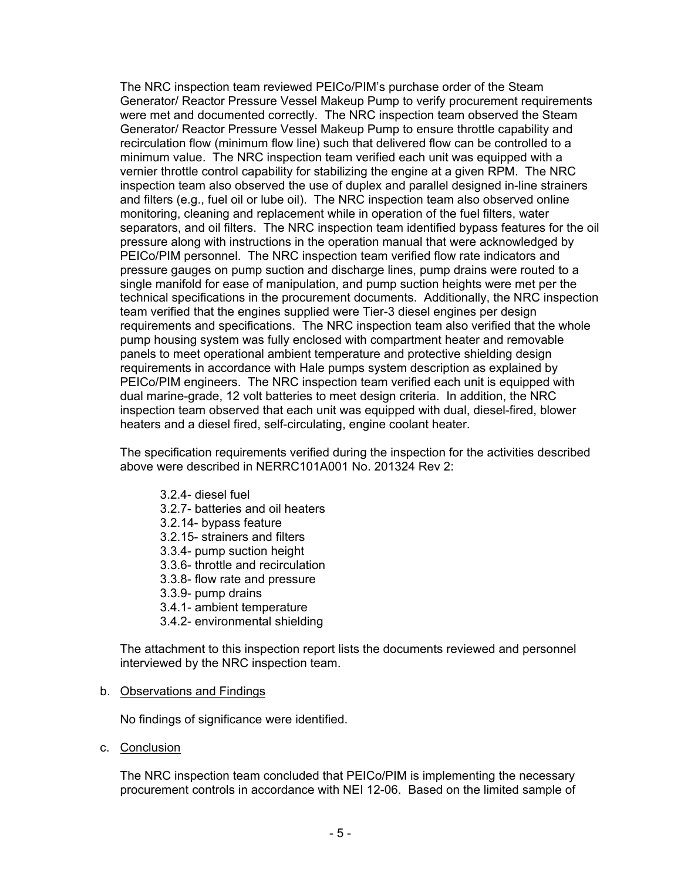The NRC inspection team reviewed PEICo/PIM's purchase order of the Steam Generator/ Reactor Pressure Vessel Makeup Pump to verify procurement requirements were met and documented correctly. The NRC inspection team observed the Steam Generator/ Reactor Pressure Vessel Makeup Pump to ensure throttle capability and recirculation flow (minimum flow line) such that delivered flow can be controlled to a minimum value. The NRC inspection team verified each unit was equipped with a vernier throttle control capability for stabilizing the engine at a given RPM. The NRC inspection team also observed the use of duplex and parallel designed in-line strainers and filters (e.g., fuel oil or lube oil). The NRC inspection team also observed online monitoring, cleaning and replacement while in operation of the fuel filters, water separators, and oil filters. The NRC inspection team identified bypass features for the oil pressure along with instructions in the operation manual that were acknowledged by PEICo/PIM personnel. The NRC inspection team verified flow rate indicators and pressure gauges on pump suction and discharge lines, pump drains were routed to a single manifold for ease of manipulation, and pump suction heights were met per the technical specifications in the procurement documents. Additionally, the NRC inspection team verified that the engines supplied were Tier-3 diesel engines per design requirements and specifications. The NRC inspection team also verified that the whole pump housing system was fully enclosed with compartment heater and removable panels to meet operational ambient temperature and protective shielding design requirements in accordance with Hale pumps system description as explained by PEICo/PIM engineers. The NRC inspection team verified each unit is equipped with dual marine-grade, 12 volt batteries to meet design criteria. In addition, the NRC inspection team observed that each unit was equipped with dual, diesel-fired, blower heaters and a diesel fired, self-circulating, engine coolant heater.

The specification requirements verified during the inspection for the activities described above were described in NERRC101A001 No. 201324 Rev 2:

- 3.2.4- diesel fuel
- 3.2.7- batteries and oil heaters
- 3.2.14- bypass feature
- 3.2.15- strainers and filters
- 3.3.4- pump suction height
- 3.3.6- throttle and recirculation
- 3.3.8- flow rate and pressure
- 3.3.9- pump drains
- 3.4.1- ambient temperature
- 3.4.2- environmental shielding

The attachment to this inspection report lists the documents reviewed and personnel interviewed by the NRC inspection team.

#### b. Observations and Findings

No findings of significance were identified.

c. Conclusion

The NRC inspection team concluded that PEICo/PIM is implementing the necessary procurement controls in accordance with NEI 12-06. Based on the limited sample of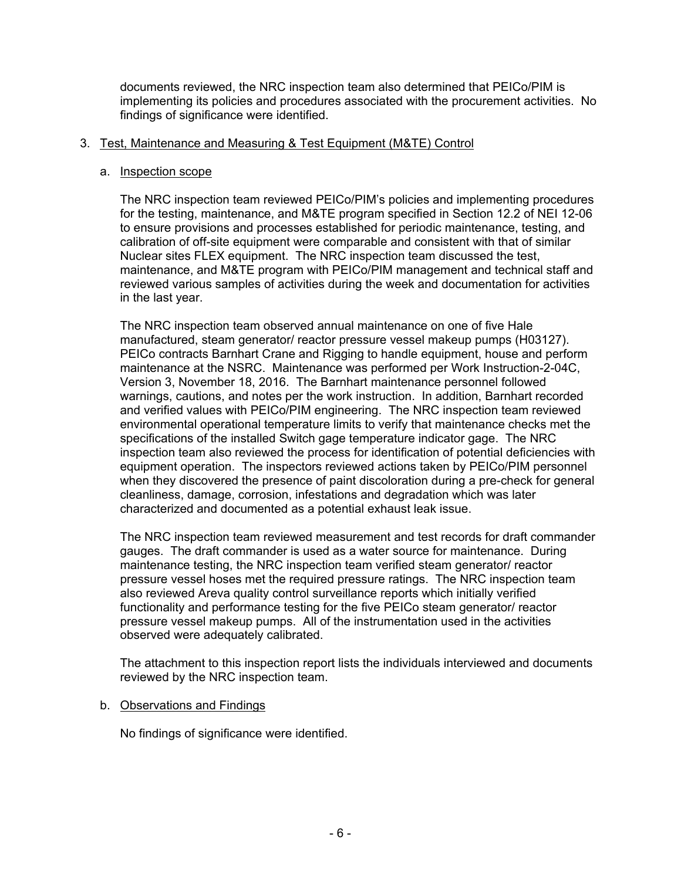documents reviewed, the NRC inspection team also determined that PEICo/PIM is implementing its policies and procedures associated with the procurement activities. No findings of significance were identified.

# 3. Test, Maintenance and Measuring & Test Equipment (M&TE) Control

### a. Inspection scope

The NRC inspection team reviewed PEICo/PIM's policies and implementing procedures for the testing, maintenance, and M&TE program specified in Section 12.2 of NEI 12-06 to ensure provisions and processes established for periodic maintenance, testing, and calibration of off-site equipment were comparable and consistent with that of similar Nuclear sites FLEX equipment. The NRC inspection team discussed the test, maintenance, and M&TE program with PEICo/PIM management and technical staff and reviewed various samples of activities during the week and documentation for activities in the last year.

The NRC inspection team observed annual maintenance on one of five Hale manufactured, steam generator/ reactor pressure vessel makeup pumps (H03127). PEICo contracts Barnhart Crane and Rigging to handle equipment, house and perform maintenance at the NSRC. Maintenance was performed per Work Instruction-2-04C, Version 3, November 18, 2016. The Barnhart maintenance personnel followed warnings, cautions, and notes per the work instruction. In addition, Barnhart recorded and verified values with PEICo/PIM engineering. The NRC inspection team reviewed environmental operational temperature limits to verify that maintenance checks met the specifications of the installed Switch gage temperature indicator gage. The NRC inspection team also reviewed the process for identification of potential deficiencies with equipment operation. The inspectors reviewed actions taken by PEICo/PIM personnel when they discovered the presence of paint discoloration during a pre-check for general cleanliness, damage, corrosion, infestations and degradation which was later characterized and documented as a potential exhaust leak issue.

The NRC inspection team reviewed measurement and test records for draft commander gauges. The draft commander is used as a water source for maintenance. During maintenance testing, the NRC inspection team verified steam generator/ reactor pressure vessel hoses met the required pressure ratings. The NRC inspection team also reviewed Areva quality control surveillance reports which initially verified functionality and performance testing for the five PEICo steam generator/ reactor pressure vessel makeup pumps. All of the instrumentation used in the activities observed were adequately calibrated.

The attachment to this inspection report lists the individuals interviewed and documents reviewed by the NRC inspection team.

## b. Observations and Findings

No findings of significance were identified.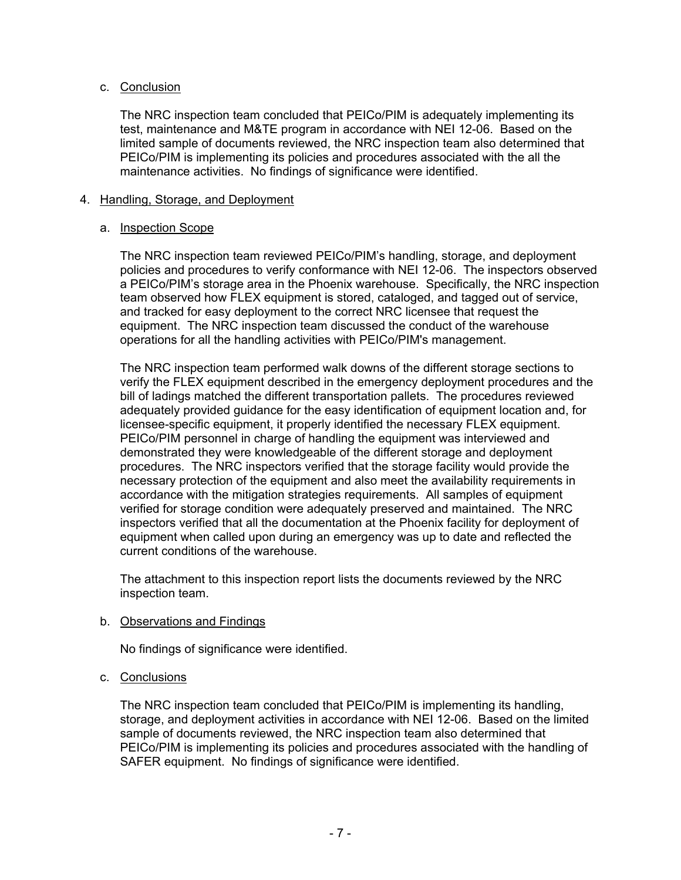## c. Conclusion

The NRC inspection team concluded that PEICo/PIM is adequately implementing its test, maintenance and M&TE program in accordance with NEI 12-06. Based on the limited sample of documents reviewed, the NRC inspection team also determined that PEICo/PIM is implementing its policies and procedures associated with the all the maintenance activities. No findings of significance were identified.

#### 4. Handling, Storage, and Deployment

#### a. Inspection Scope

The NRC inspection team reviewed PEICo/PIM's handling, storage, and deployment policies and procedures to verify conformance with NEI 12-06. The inspectors observed a PEICo/PIM's storage area in the Phoenix warehouse. Specifically, the NRC inspection team observed how FLEX equipment is stored, cataloged, and tagged out of service, and tracked for easy deployment to the correct NRC licensee that request the equipment. The NRC inspection team discussed the conduct of the warehouse operations for all the handling activities with PEICo/PIM's management.

The NRC inspection team performed walk downs of the different storage sections to verify the FLEX equipment described in the emergency deployment procedures and the bill of ladings matched the different transportation pallets. The procedures reviewed adequately provided guidance for the easy identification of equipment location and, for licensee-specific equipment, it properly identified the necessary FLEX equipment. PEICo/PIM personnel in charge of handling the equipment was interviewed and demonstrated they were knowledgeable of the different storage and deployment procedures. The NRC inspectors verified that the storage facility would provide the necessary protection of the equipment and also meet the availability requirements in accordance with the mitigation strategies requirements. All samples of equipment verified for storage condition were adequately preserved and maintained. The NRC inspectors verified that all the documentation at the Phoenix facility for deployment of equipment when called upon during an emergency was up to date and reflected the current conditions of the warehouse.

The attachment to this inspection report lists the documents reviewed by the NRC inspection team.

## b. Observations and Findings

No findings of significance were identified.

#### c. Conclusions

The NRC inspection team concluded that PEICo/PIM is implementing its handling, storage, and deployment activities in accordance with NEI 12-06. Based on the limited sample of documents reviewed, the NRC inspection team also determined that PEICo/PIM is implementing its policies and procedures associated with the handling of SAFER equipment. No findings of significance were identified.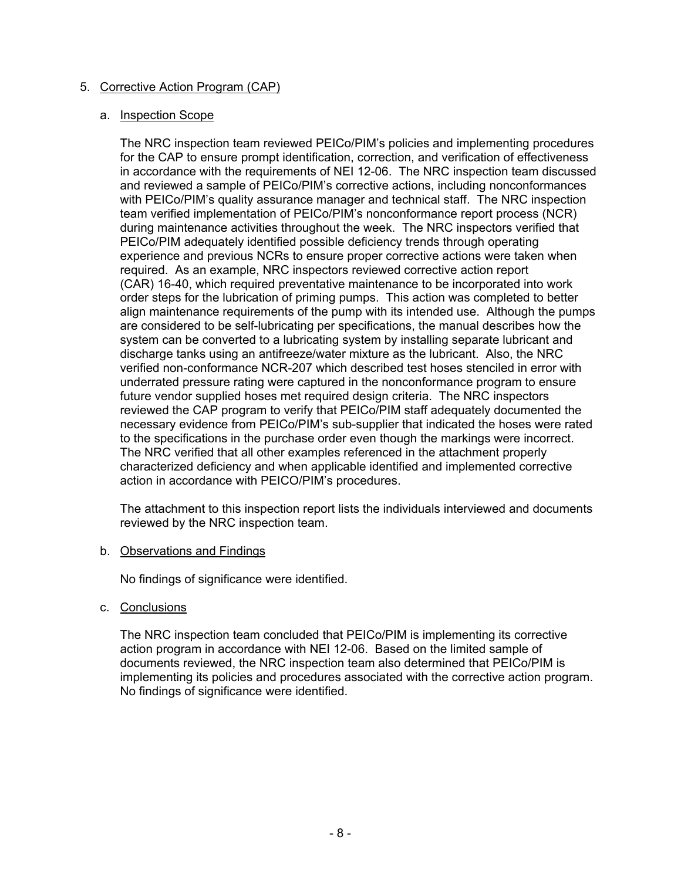# 5. Corrective Action Program (CAP)

### a. Inspection Scope

The NRC inspection team reviewed PEICo/PIM's policies and implementing procedures for the CAP to ensure prompt identification, correction, and verification of effectiveness in accordance with the requirements of NEI 12-06. The NRC inspection team discussed and reviewed a sample of PEICo/PIM's corrective actions, including nonconformances with PEICo/PIM's quality assurance manager and technical staff. The NRC inspection team verified implementation of PEICo/PIM's nonconformance report process (NCR) during maintenance activities throughout the week. The NRC inspectors verified that PEICo/PIM adequately identified possible deficiency trends through operating experience and previous NCRs to ensure proper corrective actions were taken when required. As an example, NRC inspectors reviewed corrective action report (CAR) 16-40, which required preventative maintenance to be incorporated into work order steps for the lubrication of priming pumps. This action was completed to better align maintenance requirements of the pump with its intended use. Although the pumps are considered to be self-lubricating per specifications, the manual describes how the system can be converted to a lubricating system by installing separate lubricant and discharge tanks using an antifreeze/water mixture as the lubricant. Also, the NRC verified non-conformance NCR-207 which described test hoses stenciled in error with underrated pressure rating were captured in the nonconformance program to ensure future vendor supplied hoses met required design criteria. The NRC inspectors reviewed the CAP program to verify that PEICo/PIM staff adequately documented the necessary evidence from PEICo/PIM's sub-supplier that indicated the hoses were rated to the specifications in the purchase order even though the markings were incorrect. The NRC verified that all other examples referenced in the attachment properly characterized deficiency and when applicable identified and implemented corrective action in accordance with PEICO/PIM's procedures.

The attachment to this inspection report lists the individuals interviewed and documents reviewed by the NRC inspection team.

#### b. Observations and Findings

No findings of significance were identified.

c. Conclusions

The NRC inspection team concluded that PEICo/PIM is implementing its corrective action program in accordance with NEI 12-06. Based on the limited sample of documents reviewed, the NRC inspection team also determined that PEICo/PIM is implementing its policies and procedures associated with the corrective action program. No findings of significance were identified.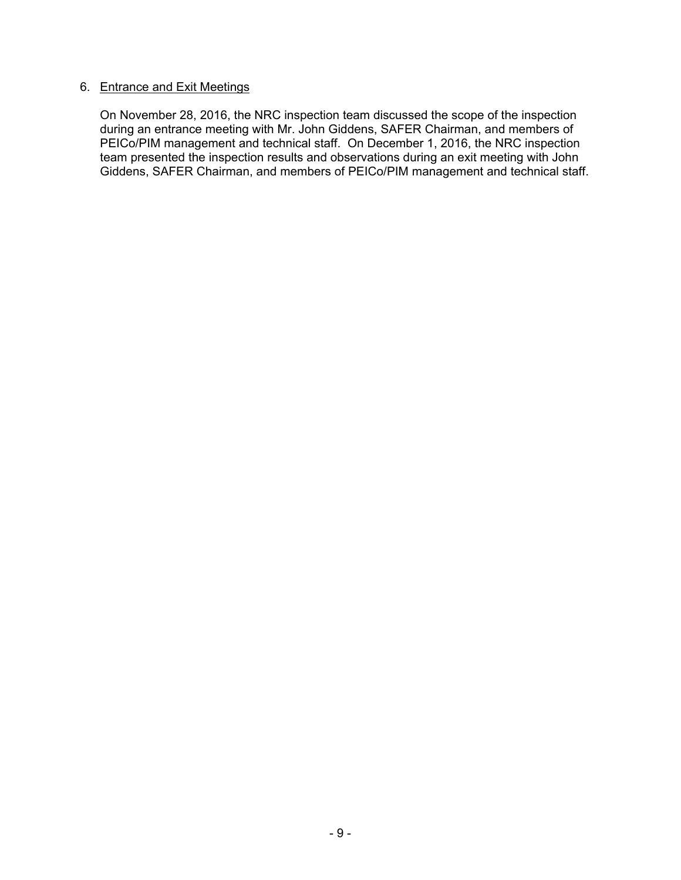# 6. Entrance and Exit Meetings

On November 28, 2016, the NRC inspection team discussed the scope of the inspection during an entrance meeting with Mr. John Giddens, SAFER Chairman, and members of PEICo/PIM management and technical staff. On December 1, 2016, the NRC inspection team presented the inspection results and observations during an exit meeting with John Giddens, SAFER Chairman, and members of PEICo/PIM management and technical staff.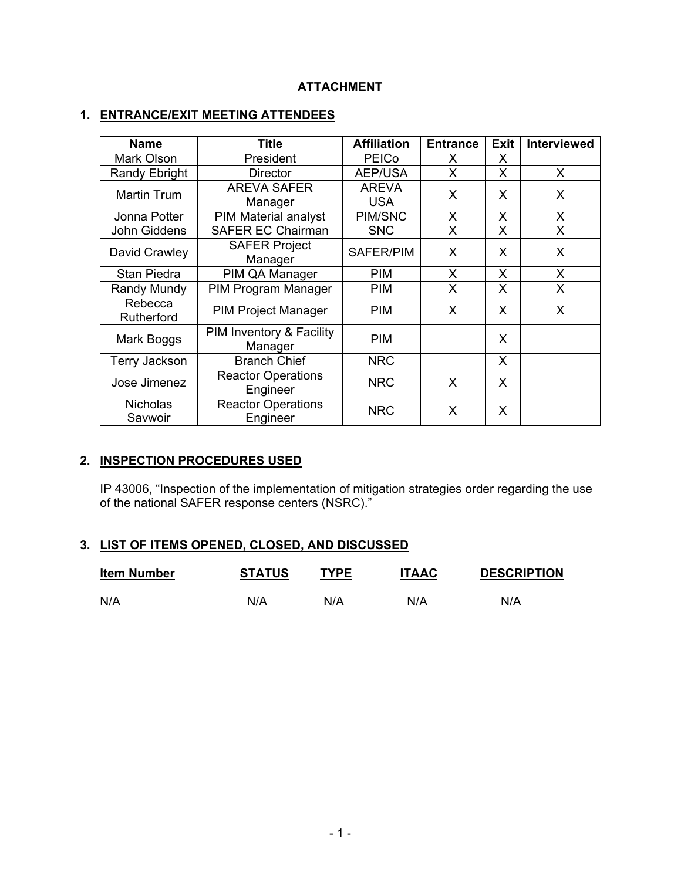# **ATTACHMENT**

# **1. ENTRANCE/EXIT MEETING ATTENDEES**

| <b>Name</b>                | Title                                 | <b>Affiliation</b>         | <b>Entrance</b> | <b>Exit</b> | <b>Interviewed</b> |
|----------------------------|---------------------------------------|----------------------------|-----------------|-------------|--------------------|
| Mark Olson                 | President                             | <b>PEICo</b>               | X               | X           |                    |
| Randy Ebright              | <b>Director</b>                       | <b>AEP/USA</b>             | X               | X           | X                  |
| <b>Martin Trum</b>         | <b>AREVA SAFER</b><br>Manager         | <b>AREVA</b><br><b>USA</b> | X               | X           | X                  |
| Jonna Potter               | <b>PIM Material analyst</b>           | PIM/SNC                    | X               | X           | X                  |
| John Giddens               | <b>SAFER EC Chairman</b>              | <b>SNC</b>                 | X               | X           | X                  |
| David Crawley              | <b>SAFER Project</b><br>Manager       | SAFER/PIM                  | X               | X           | X                  |
| Stan Piedra                | PIM QA Manager                        | <b>PIM</b>                 | X               | X           | X                  |
| Randy Mundy                | PIM Program Manager                   | <b>PIM</b>                 | X               | X           | X                  |
| Rebecca<br>Rutherford      | <b>PIM Project Manager</b>            | <b>PIM</b>                 | X               | X           | X                  |
| Mark Boggs                 | PIM Inventory & Facility<br>Manager   | <b>PIM</b>                 |                 | X           |                    |
| <b>Terry Jackson</b>       | <b>Branch Chief</b>                   | <b>NRC</b>                 |                 | X           |                    |
| Jose Jimenez               | <b>Reactor Operations</b><br>Engineer | <b>NRC</b>                 | X               | X           |                    |
| <b>Nicholas</b><br>Savwoir | <b>Reactor Operations</b><br>Engineer | <b>NRC</b>                 | X               | X           |                    |

# **2. INSPECTION PROCEDURES USED**

IP 43006, "Inspection of the implementation of mitigation strategies order regarding the use of the national SAFER response centers (NSRC)."

# **3. LIST OF ITEMS OPENED, CLOSED, AND DISCUSSED**

| <b>Item Number</b> | <b>STATUS</b> | <b>TYPE</b> | <b>ITAAC</b> | <b>DESCRIPTION</b> |
|--------------------|---------------|-------------|--------------|--------------------|
| N/A                | N/A           | N/A         | N/A          | N/A                |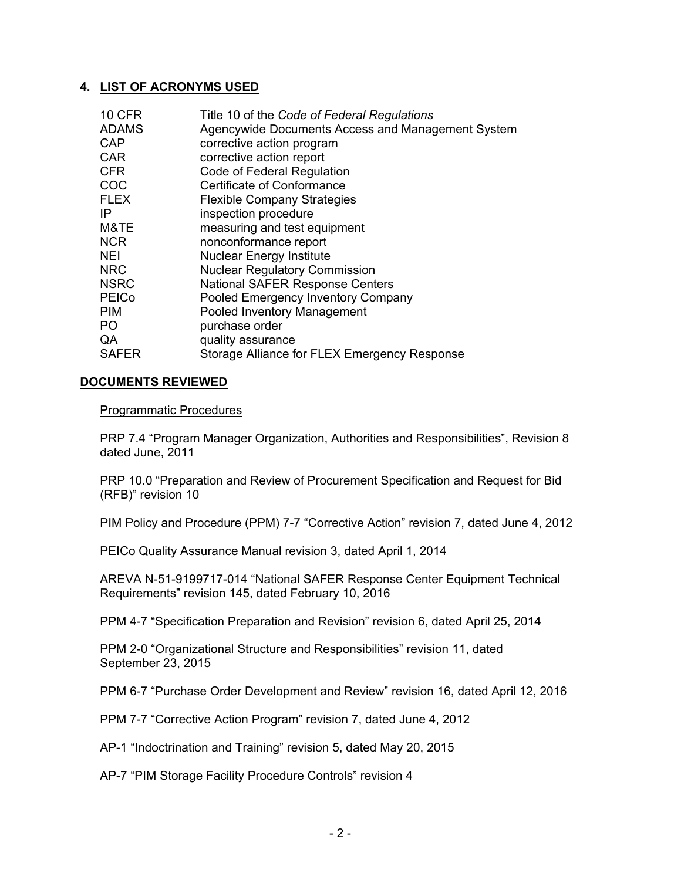## **4. LIST OF ACRONYMS USED**

| <b>10 CFR</b>  | Title 10 of the Code of Federal Regulations       |
|----------------|---------------------------------------------------|
| <b>ADAMS</b>   | Agencywide Documents Access and Management System |
| <b>CAP</b>     | corrective action program                         |
| <b>CAR</b>     | corrective action report                          |
| <b>CFR</b>     | Code of Federal Regulation                        |
| COC            | <b>Certificate of Conformance</b>                 |
| <b>FLEX</b>    | <b>Flexible Company Strategies</b>                |
| IP             | inspection procedure                              |
| M&TE           | measuring and test equipment                      |
| <b>NCR</b>     | nonconformance report                             |
| <b>NEI</b>     | <b>Nuclear Energy Institute</b>                   |
| <b>NRC</b>     | <b>Nuclear Regulatory Commission</b>              |
| <b>NSRC</b>    | <b>National SAFER Response Centers</b>            |
| <b>PEICo</b>   | Pooled Emergency Inventory Company                |
| <b>PIM</b>     | Pooled Inventory Management                       |
| P <sub>O</sub> | purchase order                                    |
| QA             | quality assurance                                 |
| <b>SAFER</b>   | Storage Alliance for FLEX Emergency Response      |

#### **DOCUMENTS REVIEWED**

#### Programmatic Procedures

PRP 7.4 "Program Manager Organization, Authorities and Responsibilities", Revision 8 dated June, 2011

PRP 10.0 "Preparation and Review of Procurement Specification and Request for Bid (RFB)" revision 10

PIM Policy and Procedure (PPM) 7-7 "Corrective Action" revision 7, dated June 4, 2012

PEICo Quality Assurance Manual revision 3, dated April 1, 2014

AREVA N-51-9199717-014 "National SAFER Response Center Equipment Technical Requirements" revision 145, dated February 10, 2016

PPM 4-7 "Specification Preparation and Revision" revision 6, dated April 25, 2014

PPM 2-0 "Organizational Structure and Responsibilities" revision 11, dated September 23, 2015

PPM 6-7 "Purchase Order Development and Review" revision 16, dated April 12, 2016

PPM 7-7 "Corrective Action Program" revision 7, dated June 4, 2012

AP-1 "Indoctrination and Training" revision 5, dated May 20, 2015

AP-7 "PIM Storage Facility Procedure Controls" revision 4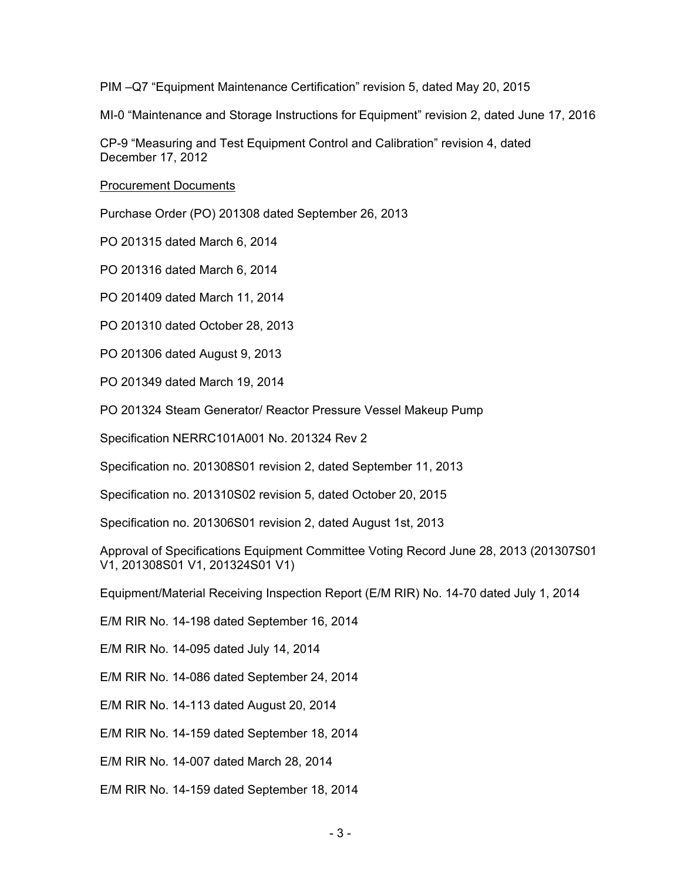PIM –Q7 "Equipment Maintenance Certification" revision 5, dated May 20, 2015

MI-0 "Maintenance and Storage Instructions for Equipment" revision 2, dated June 17, 2016

CP-9 "Measuring and Test Equipment Control and Calibration" revision 4, dated December 17, 2012

Procurement Documents

Purchase Order (PO) 201308 dated September 26, 2013

PO 201315 dated March 6, 2014

PO 201316 dated March 6, 2014

PO 201409 dated March 11, 2014

PO 201310 dated October 28, 2013

PO 201306 dated August 9, 2013

PO 201349 dated March 19, 2014

PO 201324 Steam Generator/ Reactor Pressure Vessel Makeup Pump

Specification NERRC101A001 No. 201324 Rev 2

Specification no. 201308S01 revision 2, dated September 11, 2013

Specification no. 201310S02 revision 5, dated October 20, 2015

Specification no. 201306S01 revision 2, dated August 1st, 2013

Approval of Specifications Equipment Committee Voting Record June 28, 2013 (201307S01 V1, 201308S01 V1, 201324S01 V1)

Equipment/Material Receiving Inspection Report (E/M RIR) No. 14-70 dated July 1, 2014

E/M RIR No. 14-198 dated September 16, 2014

E/M RIR No. 14-095 dated July 14, 2014

E/M RIR No. 14-086 dated September 24, 2014

E/M RIR No. 14-113 dated August 20, 2014

E/M RIR No. 14-159 dated September 18, 2014

E/M RIR No. 14-007 dated March 28, 2014

E/M RIR No. 14-159 dated September 18, 2014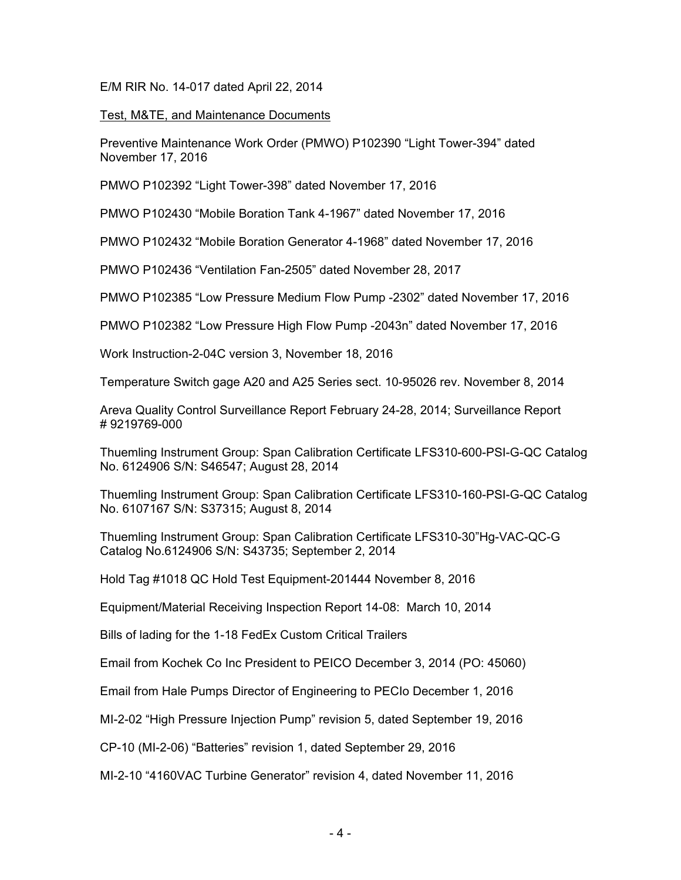E/M RIR No. 14-017 dated April 22, 2014

Test, M&TE, and Maintenance Documents

Preventive Maintenance Work Order (PMWO) P102390 "Light Tower-394" dated November 17, 2016

PMWO P102392 "Light Tower-398" dated November 17, 2016

PMWO P102430 "Mobile Boration Tank 4-1967" dated November 17, 2016

PMWO P102432 "Mobile Boration Generator 4-1968" dated November 17, 2016

PMWO P102436 "Ventilation Fan-2505" dated November 28, 2017

PMWO P102385 "Low Pressure Medium Flow Pump -2302" dated November 17, 2016

PMWO P102382 "Low Pressure High Flow Pump -2043n" dated November 17, 2016

Work Instruction-2-04C version 3, November 18, 2016

Temperature Switch gage A20 and A25 Series sect. 10-95026 rev. November 8, 2014

Areva Quality Control Surveillance Report February 24-28, 2014; Surveillance Report # 9219769-000

Thuemling Instrument Group: Span Calibration Certificate LFS310-600-PSI-G-QC Catalog No. 6124906 S/N: S46547; August 28, 2014

Thuemling Instrument Group: Span Calibration Certificate LFS310-160-PSI-G-QC Catalog No. 6107167 S/N: S37315; August 8, 2014

Thuemling Instrument Group: Span Calibration Certificate LFS310-30"Hg-VAC-QC-G Catalog No.6124906 S/N: S43735; September 2, 2014

Hold Tag #1018 QC Hold Test Equipment-201444 November 8, 2016

Equipment/Material Receiving Inspection Report 14-08: March 10, 2014

Bills of lading for the 1-18 FedEx Custom Critical Trailers

Email from Kochek Co Inc President to PEICO December 3, 2014 (PO: 45060)

Email from Hale Pumps Director of Engineering to PECIo December 1, 2016

MI-2-02 "High Pressure Injection Pump" revision 5, dated September 19, 2016

CP-10 (MI-2-06) "Batteries" revision 1, dated September 29, 2016

MI-2-10 "4160VAC Turbine Generator" revision 4, dated November 11, 2016